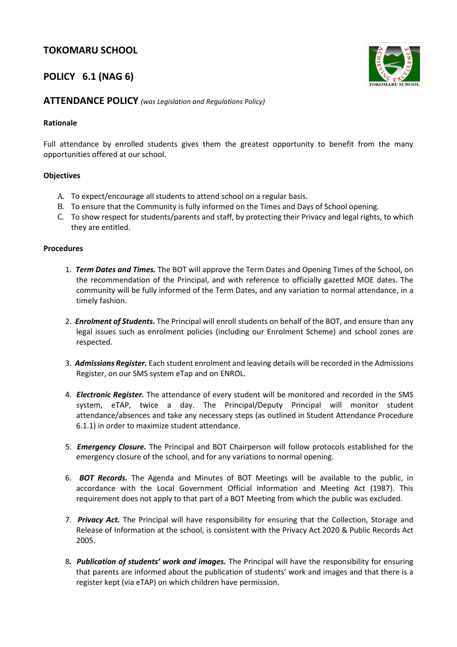# **TOKOMARU SCHOOL**

## **POLICY 6.1 (NAG 6)**



### **ATTENDANCE POLICY** *(was Legislation and Regulations Policy)*

#### **Rationale**

Full attendance by enrolled students gives them the greatest opportunity to benefit from the many opportunities offered at our school.

### **Objectives**

- A. To expect/encourage all students to attend school on a regular basis.
- B. To ensure that the Community is fully informed on the Times and Days of School opening.
- C. To show respect for students/parents and staff, by protecting their Privacy and legal rights, to which they are entitled.

#### **Procedures**

- 1. *Term Dates and Times.* The BOT will approve the Term Dates and Opening Times of the School, on the recommendation of the Principal, and with reference to officially gazetted MOE dates. The community will be fully informed of the Term Dates, and any variation to normal attendance, in a timely fashion.
- 2. *Enrolment of Students.* The Principal will enroll students on behalf of the BOT, and ensure than any legal issues such as enrolment policies (including our Enrolment Scheme) and school zones are respected.
- 3. *Admissions Register.* Each student enrolment and leaving details will be recorded in the Admissions Register, on our SMS system eTap and on ENROL.
- 4. *Electronic Register.* The attendance of every student will be monitored and recorded in the SMS system, eTAP, twice a day. The Principal/Deputy Principal will monitor student attendance/absences and take any necessary steps (as outlined in Student Attendance Procedure 6.1.1) in order to maximize student attendance.
- 5. *Emergency Closure.* The Principal and BOT Chairperson will follow protocols established for the emergency closure of the school, and for any variations to normal opening.
- 6. *BOT Records.* The Agenda and Minutes of BOT Meetings will be available to the public, in accordance with the Local Government Official Information and Meeting Act (1987). This requirement does not apply to that part of a BOT Meeting from which the public was excluded.
- 7. *Privacy Act.* The Principal will have responsibility for ensuring that the Collection, Storage and Release of Information at the school, is consistent with the Privacy Act 2020 & Public Records Act 2005.
- 8*. Publication of students' work and images.* The Principal will have the responsibility for ensuring that parents are informed about the publication of students' work and images and that there is a register kept (via eTAP) on which children have permission.